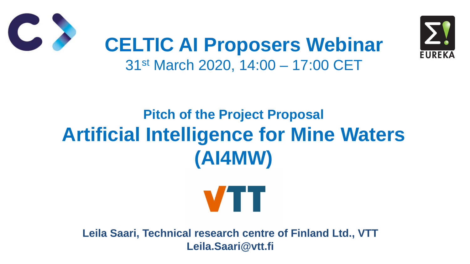# **Pitch of the Project Proposal Artificial Intelligence for Mine Waters (AI4MW)**



## **CELTIC AI Proposers Webinar** 31st March 2020, 14:00 – 17:00 CET

**Leila Saari, Technical research centre of Finland Ltd., VTT Leila.Saari@vtt.fi**



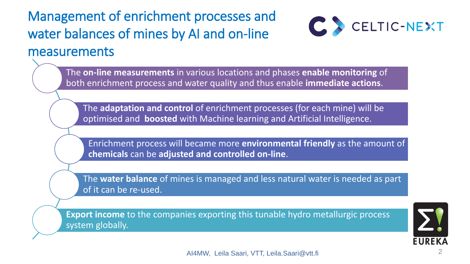### Management of enrichment processes and water balances of mines by AI and on-line measurements

AI4MW, Leila Saari, VTT, Leila.Saari@vtt.fi 2





The **on-line measurements** in various locations and phases **enable monitoring** of both enrichment process and water quality and thus enable **immediate actions**.

The **adaptation and control** of enrichment processes (for each mine) will be optimised and **boosted** with Machine learning and Artificial Intelligence.

Enrichment process will became more **environmental friendly** as the amount of **chemicals** can be **adjusted and controlled on-line**.

The **water balance** of mines is managed and less natural water is needed as part of it can be re-used.

**Export income** to the companies exporting this tunable hydro metallurgic process system globally.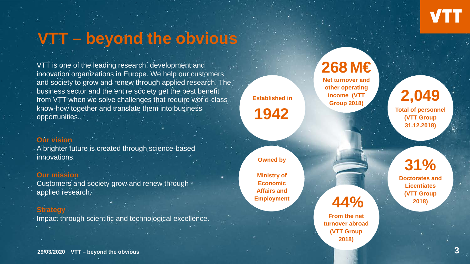**Owned by**

**Ministry of Economic Affairs and Employment**

**29/03/2020 VTT – beyond the obvious**

**Net turnover and other operating income (VTT Group 2018)**<br> **Group 2018** 

## **VTT – beyond the obvious**

**Established in**

**1942**

**268M€**

**Total of personnel (VTT Group 31.12.2018)**

## **44%**

**From the net turnover abroad (VTT Group 2018)**

**31% Doctorates and Licentiates (VTT Group** 

**2018)**



Customers and society grow and renew through applied research.

VTT is one of the leading research, development and innovation organizations in Europe. We help our customers and society to grow and renew through applied research. The business sector and the entire society get the best benefit from VTT when we solve challenges that require world-class know-how together and translate them into business opportunities.

#### **Our vision**

A brighter future is created through science-based innovations.

#### **Our mission**

#### **Strategy**

Impact through scientific and technological excellence.

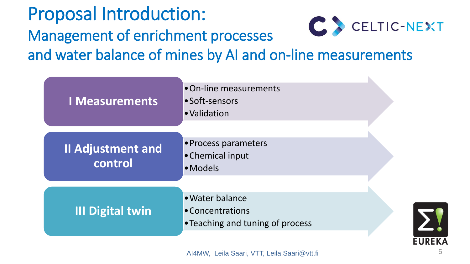Proposal Introduction: Management of enrichment processes and water balance of mines by AI and on-line measurements



- •On-line measurements
	-
	-
- •Process parameters



•Teaching and tuning of process

AI4MW, Leila Saari, VTT, Leila.Saari@vtt.fi

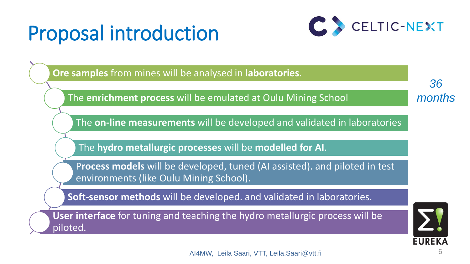# Proposal introduction

**EUREKA** 6







*36 months*

**Ore samples** from mines will be analysed in **laboratories**.

The **enrichment process** will be emulated at Oulu Mining School

The **on-line measurements** will be developed and validated in laboratories

The **hydro metallurgic processes** will be **modelled for AI**.

P**rocess models** will be developed, tuned (AI assisted). and piloted in test environments (like Oulu Mining School).

**Soft-sensor methods** will be developed. and validated in laboratories.

**User interface** for tuning and teaching the hydro metallurgic process will be piloted.

AI4MW, Leila Saari, VTT, Leila.Saari@vtt.fi

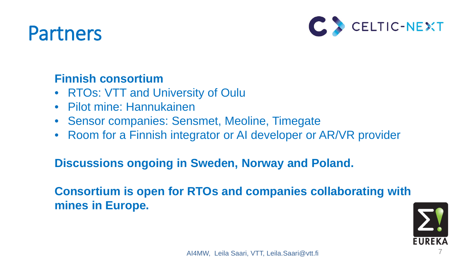## Partners



- RTOs: VTT and University of Oulu
- Pilot mine: Hannukainen
- 
- Sensor companies: Sensmet, Meoline, Timegate • Room for a Finnish integrator or AI developer or AR/VR provider

#### **Finnish consortium**

#### **Discussions ongoing in Sweden, Norway and Poland.**

- 
- **Consortium is open for RTOs and companies collaborating with**

# **mines in Europe.**



AI4MW, Leila Saari, VTT, Leila.Saari@vtt.fi